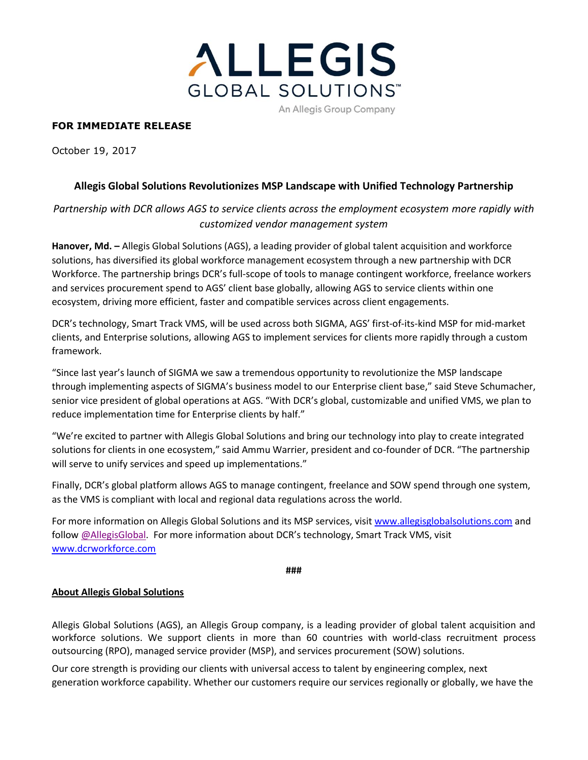

### **FOR IMMEDIATE RELEASE**

October 19, 2017

## **Allegis Global Solutions Revolutionizes MSP Landscape with Unified Technology Partnership**

# *Partnership with DCR allows AGS to service clients across the employment ecosystem more rapidly with customized vendor management system*

**Hanover, Md. –** Allegis Global Solutions (AGS), a leading provider of global talent acquisition and workforce solutions, has diversified its global workforce management ecosystem through a new partnership with DCR Workforce. The partnership brings DCR's full-scope of tools to manage contingent workforce, freelance workers and services procurement spend to AGS' client base globally, allowing AGS to service clients within one ecosystem, driving more efficient, faster and compatible services across client engagements.

DCR's technology, Smart Track VMS, will be used across both SIGMA, AGS' first-of-its-kind MSP for mid-market clients, and Enterprise solutions, allowing AGS to implement services for clients more rapidly through a custom framework.

"Since last year's launch of SIGMA we saw a tremendous opportunity to revolutionize the MSP landscape through implementing aspects of SIGMA's business model to our Enterprise client base," said Steve Schumacher, senior vice president of global operations at AGS. "With DCR's global, customizable and unified VMS, we plan to reduce implementation time for Enterprise clients by half."

"We're excited to partner with Allegis Global Solutions and bring our technology into play to create integrated solutions for clients in one ecosystem," said Ammu Warrier, president and co-founder of DCR. "The partnership will serve to unify services and speed up implementations."

Finally, DCR's global platform allows AGS to manage contingent, freelance and SOW spend through one system, as the VMS is compliant with local and regional data regulations across the world.

For more information on Allegis Global Solutions and its MSP services, visit [www.allegisglobalsolutions.com](http://www.allegisglobalsolutions.com/) and follow [@AllegisGlobal.](http://www.twitter.com/allegisglobal) For more information about DCR's technology, Smart Track VMS, visit [www.dcrworkforce.com](http://www.dcrworkforce.com/)

**###**

#### **About Allegis Global Solutions**

Allegis Global Solutions (AGS), an Allegis Group company, is a leading provider of global talent acquisition and workforce solutions. We support clients in more than 60 countries with world-class recruitment process outsourcing (RPO), managed service provider (MSP), and services procurement (SOW) solutions.

Our core strength is providing our clients with universal access to talent by engineering complex, next generation workforce capability. Whether our customers require our services regionally or globally, we have the